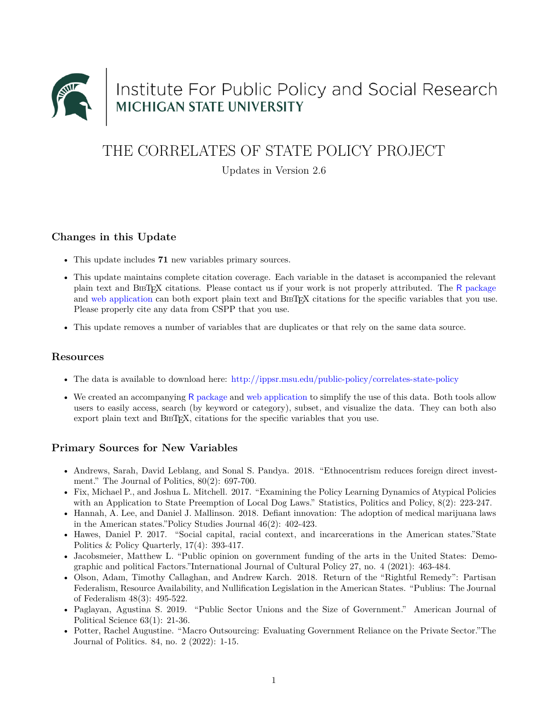

# Institute For Public Policy and Social Research<br>MICHIGAN STATE UNIVERSITY

## THE CORRELATES OF STATE POLICY PROJECT

Updates in Version 2.6

#### **Changes in this Update**

- This update includes **71** new variables primary sources.
- This update maintains complete citation coverage. Each variable in the dataset is accompanied the relevant plain text and BIBTEX citations. Please contact us if your work is not properly attributed. The R [package](https://github.com/correlatesstatepolicy/cspp) and [web application](https://cspp.ippsr.msu.edu/cspp/) can both export plain text and BIBT<sub>EX</sub> citations for the specific variables that you use. Please properly cite any data from CSPP that you use.
- This update removes a number of variables that are duplicates or that rely on the same data source.

#### **Resources**

- The data is available to download here: <http://ippsr.msu.edu/public-policy/correlates-state-policy>
- We created an accompanying R [package](https://github.com/correlatesstatepolicy/cspp) and [web application](https://cspp.ippsr.msu.edu/cspp/) to simplify the use of this data. Both tools allow users to easily access, search (by keyword or category), subset, and visualize the data. They can both also export plain text and BIBTEX, citations for the specific variables that you use.

#### **Primary Sources for New Variables**

- Andrews, Sarah, David Leblang, and Sonal S. Pandya. 2018. "Ethnocentrism reduces foreign direct investment." The Journal of Politics, 80(2): 697-700.
- Fix, Michael P., and Joshua L. Mitchell. 2017. "Examining the Policy Learning Dynamics of Atypical Policies with an Application to State Preemption of Local Dog Laws." Statistics, Politics and Policy, 8(2): 223-247.
- Hannah, A. Lee, and Daniel J. Mallinson. 2018. Defiant innovation: The adoption of medical marijuana laws in the American states."Policy Studies Journal 46(2): 402-423.
- Hawes, Daniel P. 2017. "Social capital, racial context, and incarcerations in the American states."State Politics & Policy Quarterly, 17(4): 393-417.
- Jacobsmeier, Matthew L. "Public opinion on government funding of the arts in the United States: Demographic and political Factors."International Journal of Cultural Policy 27, no. 4 (2021): 463-484.
- Olson, Adam, Timothy Callaghan, and Andrew Karch. 2018. Return of the "Rightful Remedy": Partisan Federalism, Resource Availability, and Nullification Legislation in the American States. "Publius: The Journal of Federalism 48(3): 495-522.
- Paglayan, Agustina S. 2019. "Public Sector Unions and the Size of Government." American Journal of Political Science 63(1): 21-36.
- Potter, Rachel Augustine. "Macro Outsourcing: Evaluating Government Reliance on the Private Sector."The Journal of Politics. 84, no. 2 (2022): 1-15.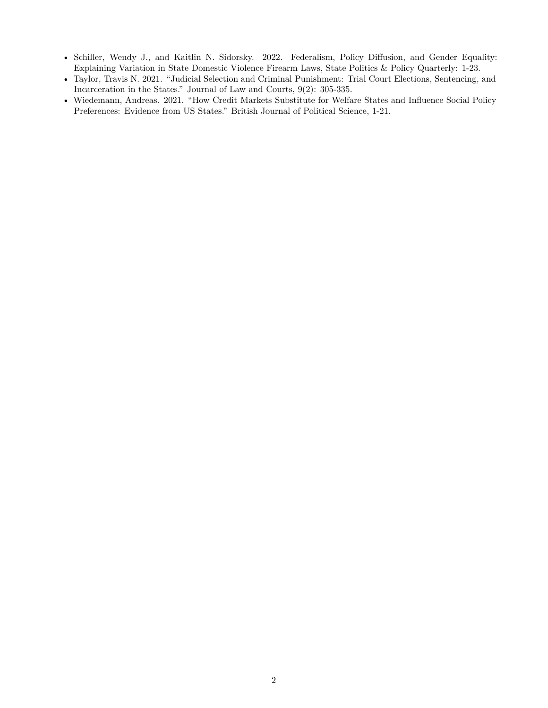- Schiller, Wendy J., and Kaitlin N. Sidorsky. 2022. Federalism, Policy Diffusion, and Gender Equality: Explaining Variation in State Domestic Violence Firearm Laws, State Politics & Policy Quarterly: 1-23.
- Taylor, Travis N. 2021. "Judicial Selection and Criminal Punishment: Trial Court Elections, Sentencing, and Incarceration in the States." Journal of Law and Courts, 9(2): 305-335.
- Wiedemann, Andreas. 2021. "How Credit Markets Substitute for Welfare States and Influence Social Policy Preferences: Evidence from US States." British Journal of Political Science, 1-21.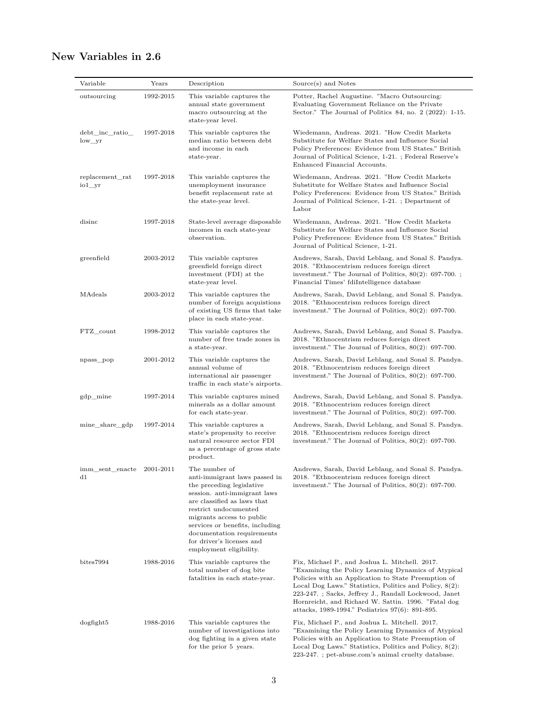### **New Variables in 2.6**

| Variable                                 | Years     | Description                                                                                                                                                                                                                                                                                                               | Source(s) and Notes                                                                                                                                                                                                                                                                                                                                                                         |
|------------------------------------------|-----------|---------------------------------------------------------------------------------------------------------------------------------------------------------------------------------------------------------------------------------------------------------------------------------------------------------------------------|---------------------------------------------------------------------------------------------------------------------------------------------------------------------------------------------------------------------------------------------------------------------------------------------------------------------------------------------------------------------------------------------|
| outsourcing                              | 1992-2015 | This variable captures the<br>annual state government<br>macro outsourcing at the<br>state-year level.                                                                                                                                                                                                                    | Potter, Rachel Augustine. "Macro Outsourcing:<br>Evaluating Government Reliance on the Private<br>Sector." The Journal of Politics $84$ , no. $2$ (2022): 1-15.                                                                                                                                                                                                                             |
| debt inc ratio<br>$low\_yr$              | 1997-2018 | This variable captures the<br>median ratio between debt<br>and income in each<br>state-year.                                                                                                                                                                                                                              | Wiedemann, Andreas. 2021. "How Credit Markets<br>Substitute for Welfare States and Influence Social<br>Policy Preferences: Evidence from US States." British<br>Journal of Political Science, 1-21. ; Federal Reserve's<br>Enhanced Financial Accounts.                                                                                                                                     |
| replacement rat<br>$io1_{rr}$            | 1997-2018 | This variable captures the<br>unemployment insurance<br>benefit replacement rate at<br>the state-year level.                                                                                                                                                                                                              | Wiedemann, Andreas, 2021. "How Credit Markets<br>Substitute for Welfare States and Influence Social<br>Policy Preferences: Evidence from US States." British<br>Journal of Political Science, 1-21. ; Department of<br>Labor                                                                                                                                                                |
| disinc                                   | 1997-2018 | State-level average disposable<br>incomes in each state-year<br>observation.                                                                                                                                                                                                                                              | Wiedemann, Andreas. 2021. "How Credit Markets<br>Substitute for Welfare States and Influence Social<br>Policy Preferences: Evidence from US States." British<br>Journal of Political Science, 1-21.                                                                                                                                                                                         |
| greenfield                               | 2003-2012 | This variable captures<br>greenfield foreign direct<br>investment (FDI) at the<br>state-year level.                                                                                                                                                                                                                       | Andrews, Sarah, David Leblang, and Sonal S. Pandya.<br>2018. "Ethnocentrism reduces foreign direct<br>investment." The Journal of Politics, $80(2)$ : 697-700.;<br>Financial Times' fdiIntelligence database                                                                                                                                                                                |
| MAdeals                                  | 2003-2012 | This variable captures the<br>number of foreign acquistions<br>of existing US firms that take<br>place in each state-year.                                                                                                                                                                                                | Andrews, Sarah, David Leblang, and Sonal S. Pandya.<br>2018. "Ethnocentrism reduces foreign direct<br>investment." The Journal of Politics, $80(2)$ : 697-700.                                                                                                                                                                                                                              |
| FTZ count                                | 1998-2012 | This variable captures the<br>number of free trade zones in<br>a state-year.                                                                                                                                                                                                                                              | Andrews, Sarah, David Leblang, and Sonal S. Pandya.<br>2018. "Ethnocentrism reduces foreign direct<br>investment." The Journal of Politics, $80(2)$ : 697-700.                                                                                                                                                                                                                              |
| npass_pop                                | 2001-2012 | This variable captures the<br>annual volume of<br>international air passenger<br>traffic in each state's airports.                                                                                                                                                                                                        | Andrews, Sarah, David Leblang, and Sonal S. Pandya.<br>2018. "Ethnocentrism reduces foreign direct<br>investment." The Journal of Politics, $80(2)$ : 697-700.                                                                                                                                                                                                                              |
| $gdp$ <sub>mine</sub>                    | 1997-2014 | This variable captures mined<br>minerals as a dollar amount<br>for each state-year.                                                                                                                                                                                                                                       | Andrews, Sarah, David Leblang, and Sonal S. Pandya.<br>2018. "Ethnocentrism reduces foreign direct<br>investment." The Journal of Politics, $80(2)$ : 697-700.                                                                                                                                                                                                                              |
| mine_share_gdp                           | 1997-2014 | This variable captures a<br>state's propensity to receive<br>natural resource sector FDI<br>as a percentage of gross state<br>product.                                                                                                                                                                                    | Andrews, Sarah, David Leblang, and Sonal S. Pandya.<br>2018. "Ethnocentrism reduces foreign direct<br>investment." The Journal of Politics, $80(2)$ : 697-700.                                                                                                                                                                                                                              |
| imm_sent_enacte 2001-2011<br>$_{\rm d1}$ |           | The number of<br>anti-immigrant laws passed in<br>the preceding legislative<br>session. anti-immigrant laws<br>are classified as laws that<br>restrict undocumented<br>migrants access to public<br>services or benefits, including<br>documentation requirements<br>for driver's licenses and<br>employment eligibility. | Andrews, Sarah, David Leblang, and Sonal S. Pandya.<br>2018. "Ethnocentrism reduces foreign direct<br>investment." The Journal of Politics, $80(2)$ : 697-700.                                                                                                                                                                                                                              |
| bites7994                                | 1988-2016 | This variable captures the<br>total number of dog bite<br>fatalities in each state-year.                                                                                                                                                                                                                                  | Fix, Michael P., and Joshua L. Mitchell. 2017.<br>"Examining the Policy Learning Dynamics of Atypical"<br>Policies with an Application to State Preemption of<br>Local Dog Laws." Statistics, Politics and Policy, 8(2):<br>223-247. ; Sacks, Jeffrey J., Randall Lockwood, Janet<br>Hornreicht, and Richard W. Sattin. 1996. "Fatal dog<br>attacks, 1989-1994." Pediatrics 97(6): 891-895. |
| $\log$ fight $5$                         | 1988-2016 | This variable captures the<br>number of investigations into<br>dog fighting in a given state<br>for the prior 5 years.                                                                                                                                                                                                    | Fix, Michael P., and Joshua L. Mitchell. 2017.<br>"Examining the Policy Learning Dynamics of Atypical<br>Policies with an Application to State Preemption of<br>Local Dog Laws." Statistics, Politics and Policy, 8(2):                                                                                                                                                                     |

223-247. ; pet-abuse.com's animal cruelty database.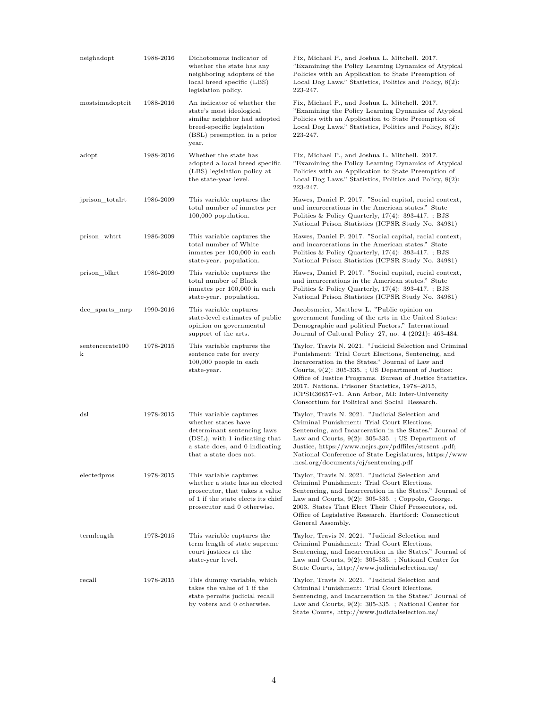| neighadopt           | 1988-2016 | Dichotomous indicator of<br>whether the state has any<br>neighboring adopters of the<br>local breed specific (LBS)<br>legislation policy.                                 | Fix, Michael P., and Joshua L. Mitchell. 2017.<br>"Examining the Policy Learning Dynamics of Atypical"<br>Policies with an Application to State Preemption of<br>Local Dog Laws." Statistics, Politics and Policy, 8(2):<br>223-247.                                                                                                                                                                                                         |
|----------------------|-----------|---------------------------------------------------------------------------------------------------------------------------------------------------------------------------|----------------------------------------------------------------------------------------------------------------------------------------------------------------------------------------------------------------------------------------------------------------------------------------------------------------------------------------------------------------------------------------------------------------------------------------------|
| mostsimadoptcit      | 1988-2016 | An indicator of whether the<br>state's most ideological<br>similar neighbor had adopted<br>breed-specific legislation<br>(BSL) preemption in a prior<br>year.             | Fix, Michael P., and Joshua L. Mitchell. 2017.<br>"Examining the Policy Learning Dynamics of Atypical"<br>Policies with an Application to State Preemption of<br>Local Dog Laws." Statistics, Politics and Policy, 8(2):<br>223-247.                                                                                                                                                                                                         |
| adopt                | 1988-2016 | Whether the state has<br>adopted a local breed specific<br>(LBS) legislation policy at<br>the state-year level.                                                           | Fix, Michael P., and Joshua L. Mitchell. 2017.<br>"Examining the Policy Learning Dynamics of Atypical<br>Policies with an Application to State Preemption of<br>Local Dog Laws." Statistics, Politics and Policy, 8(2):<br>223-247.                                                                                                                                                                                                          |
| jprison_totalrt      | 1986-2009 | This variable captures the<br>total number of inmates per<br>$100,000$ population.                                                                                        | Hawes, Daniel P. 2017. "Social capital, racial context,<br>and incarcerations in the American states." State<br>Politics & Policy Quarterly, $17(4)$ : 393-417.; BJS<br>National Prison Statistics (ICPSR Study No. 34981)                                                                                                                                                                                                                   |
| prison_whtrt         | 1986-2009 | This variable captures the<br>total number of White<br>inmates per 100,000 in each<br>state-year. population.                                                             | Hawes, Daniel P. 2017. "Social capital, racial context,<br>and incarcerations in the American states." State<br>Politics & Policy Quarterly, $17(4)$ : 393-417. ; BJS<br>National Prison Statistics (ICPSR Study No. 34981)                                                                                                                                                                                                                  |
| prison_blkrt         | 1986-2009 | This variable captures the<br>total number of Black<br>inmates per 100,000 in each<br>state-year. population.                                                             | Hawes, Daniel P. 2017. "Social capital, racial context,<br>and incarcerations in the American states." State<br>Politics & Policy Quarterly, $17(4)$ : 393-417.; BJS<br>National Prison Statistics (ICPSR Study No. 34981)                                                                                                                                                                                                                   |
| dec_sparts_mrp       | 1990-2016 | This variable captures<br>state-level estimates of public<br>opinion on governmental<br>support of the arts.                                                              | Jacobsmeier, Matthew L. "Public opinion on<br>government funding of the arts in the United States:<br>Demographic and political Factors." International<br>Journal of Cultural Policy 27, no. 4 (2021): 463-484.                                                                                                                                                                                                                             |
| sentencerate100<br>k | 1978-2015 | This variable captures the<br>sentence rate for every<br>$100,000$ people in each<br>state-year.                                                                          | Taylor, Travis N. 2021. "Judicial Selection and Criminal<br>Punishment: Trial Court Elections, Sentencing, and<br>Incarceration in the States." Journal of Law and<br>Courts, $9(2)$ : 305-335.; US Department of Justice:<br>Office of Justice Programs. Bureau of Justice Statistics.<br>2017. National Prisoner Statistics, 1978–2015,<br>ICPSR36657-v1. Ann Arbor, MI: Inter-University<br>Consortium for Political and Social Research. |
| dsl                  | 1978-2015 | This variable captures<br>whether states have<br>determinant sentencing laws<br>(DSL), with 1 indicating that<br>a state does, and 0 indicating<br>that a state does not. | Taylor, Travis N. 2021. "Judicial Selection and<br>Criminal Punishment: Trial Court Elections,<br>Sentencing, and Incarceration in the States." Journal of<br>Law and Courts, $9(2)$ : 305-335. ; US Department of<br>Justice, https://www.ncjrs.gov/pdffiles/strsent.pdf;<br>National Conference of State Legislatures, https://www.<br>.ncsl.org/documents/cj/sentencing.pdf                                                               |
| electedpros          | 1978-2015 | This variable captures<br>whether a state has an elected<br>prosecutor, that takes a value<br>of 1 if the state elects its chief<br>prosecutor and 0 otherwise.           | Taylor, Travis N. 2021. "Judicial Selection and<br>Criminal Punishment: Trial Court Elections,<br>Sentencing, and Incarceration in the States." Journal of<br>Law and Courts, $9(2)$ : 305-335.; Coppolo, George.<br>2003. States That Elect Their Chief Prosecutors, ed.<br>Office of Legislative Research. Hartford: Connecticut<br>General Assembly.                                                                                      |
| termlength           | 1978-2015 | This variable captures the<br>term length of state supreme<br>court justices at the<br>state-year level.                                                                  | Taylor, Travis N. 2021. "Judicial Selection and<br>Criminal Punishment: Trial Court Elections,<br>Sentencing, and Incarceration in the States." Journal of<br>Law and Courts, $9(2)$ : 305-335.; National Center for<br>State Courts, http://www.judicialselection.us/                                                                                                                                                                       |
| recall               | 1978-2015 | This dummy variable, which<br>takes the value of 1 if the<br>state permits judicial recall<br>by voters and 0 otherwise.                                                  | Taylor, Travis N. 2021. "Judicial Selection and<br>Criminal Punishment: Trial Court Elections,<br>Sentencing, and Incarceration in the States." Journal of<br>Law and Courts, $9(2)$ : 305-335.; National Center for<br>State Courts, http://www.judicialselection.us/                                                                                                                                                                       |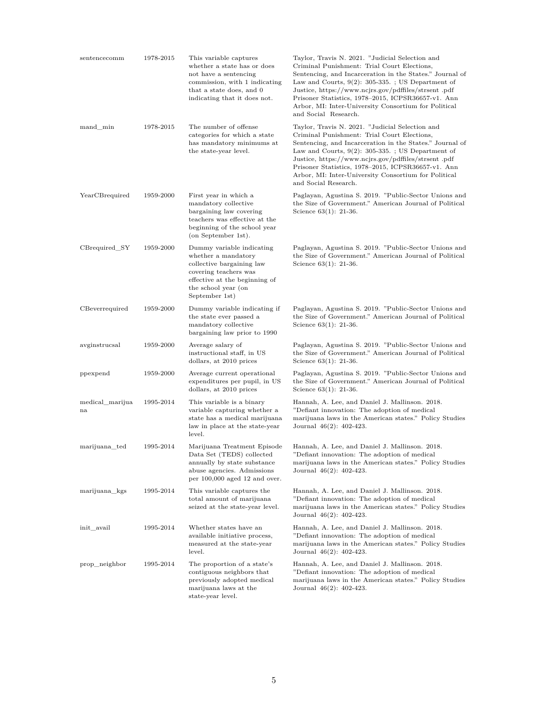| sentencecomm          | 1978-2015 | This variable captures<br>whether a state has or does<br>not have a sentencing<br>commission, with 1 indicating<br>that a state does, and 0<br>indicating that it does not.      | Taylor, Travis N. 2021. "Judicial Selection and<br>Criminal Punishment: Trial Court Elections,<br>Sentencing, and Incarceration in the States." Journal of<br>Law and Courts, $9(2)$ : 305-335.; US Department of<br>Justice, https://www.ncjrs.gov/pdffiles/strsent.pdf<br>Prisoner Statistics, 1978-2015, ICPSR36657-v1. Ann<br>Arbor, MI: Inter-University Consortium for Political<br>and Social Research.  |
|-----------------------|-----------|----------------------------------------------------------------------------------------------------------------------------------------------------------------------------------|-----------------------------------------------------------------------------------------------------------------------------------------------------------------------------------------------------------------------------------------------------------------------------------------------------------------------------------------------------------------------------------------------------------------|
| mand_min              | 1978-2015 | The number of offense<br>categories for which a state<br>has mandatory minimums at<br>the state-year level.                                                                      | Taylor, Travis N. 2021. "Judicial Selection and<br>Criminal Punishment: Trial Court Elections,<br>Sentencing, and Incarceration in the States." Journal of<br>Law and Courts, $9(2)$ : 305-335. ; US Department of<br>Justice, https://www.ncjrs.gov/pdffiles/strsent.pdf<br>Prisoner Statistics, 1978–2015, ICPSR36657-v1. Ann<br>Arbor, MI: Inter-University Consortium for Political<br>and Social Research. |
| YearCBrequired        | 1959-2000 | First year in which a<br>mandatory collective<br>bargaining law covering<br>teachers was effective at the<br>beginning of the school year<br>(on September 1st).                 | Paglayan, Agustina S. 2019. "Public-Sector Unions and<br>the Size of Government." American Journal of Political<br>Science $63(1)$ : 21-36.                                                                                                                                                                                                                                                                     |
| CBrequired_SY         | 1959-2000 | Dummy variable indicating<br>whether a mandatory<br>collective bargaining law<br>covering teachers was<br>effective at the beginning of<br>the school year (on<br>September 1st) | Paglayan, Agustina S. 2019. "Public-Sector Unions and<br>the Size of Government." American Journal of Political<br>Science $63(1)$ : 21-36.                                                                                                                                                                                                                                                                     |
| CBeverrequired        | 1959-2000 | Dummy variable indicating if<br>the state ever passed a<br>mandatory collective<br>bargaining law prior to 1990                                                                  | Paglayan, Agustina S. 2019. "Public-Sector Unions and<br>the Size of Government." American Journal of Political<br>Science $63(1)$ : 21-36.                                                                                                                                                                                                                                                                     |
| avginstrucsal         | 1959-2000 | Average salary of<br>instructional staff, in US<br>dollars, at 2010 prices                                                                                                       | Paglayan, Agustina S. 2019. "Public-Sector Unions and<br>the Size of Government." American Journal of Political<br>Science $63(1)$ : 21-36.                                                                                                                                                                                                                                                                     |
| ppexpend              | 1959-2000 | Average current operational<br>expenditures per pupil, in US<br>dollars, at 2010 prices                                                                                          | Paglayan, Agustina S. 2019. "Public-Sector Unions and<br>the Size of Government." American Journal of Political<br>Science $63(1)$ : 21-36.                                                                                                                                                                                                                                                                     |
| medical_marijua<br>na | 1995-2014 | This variable is a binary<br>variable capturing whether a<br>state has a medical marijuana<br>law in place at the state-year<br>level.                                           | Hannah, A. Lee, and Daniel J. Mallinson. 2018.<br>"Defiant innovation: The adoption of medical<br>marijuana laws in the American states." Policy Studies<br>Journal 46(2): 402-423.                                                                                                                                                                                                                             |
| marijuana_ted         | 1995-2014 | Marijuana Treatment Episode<br>Data Set (TEDS) collected<br>annually by state substance<br>abuse agencies. Admissions<br>per $100,000$ aged 12 and over.                         | Hannah, A. Lee, and Daniel J. Mallinson. 2018.<br>"Defiant innovation: The adoption of medical<br>marijuana laws in the American states." Policy Studies<br>Journal $46(2)$ : $402-423$ .                                                                                                                                                                                                                       |
| marijuana kgs         | 1995-2014 | This variable captures the<br>total amount of marijuana<br>seized at the state-year level.                                                                                       | Hannah, A. Lee, and Daniel J. Mallinson. 2018.<br>"Defiant innovation: The adoption of medical<br>marijuana laws in the American states." Policy Studies<br>Journal $46(2)$ : $402-423$ .                                                                                                                                                                                                                       |
| init avail            | 1995-2014 | Whether states have an<br>available initiative process,<br>measured at the state-year<br>level.                                                                                  | Hannah, A. Lee, and Daniel J. Mallinson. 2018.<br>"Defiant innovation: The adoption of medical<br>marijuana laws in the American states." Policy Studies<br>Journal $46(2)$ : $402-423$ .                                                                                                                                                                                                                       |
| prop neighbor         | 1995-2014 | The proportion of a state's<br>contiguous neighbors that<br>previously adopted medical<br>marijuana laws at the<br>state-year level.                                             | Hannah, A. Lee, and Daniel J. Mallinson. 2018.<br>"Defiant innovation: The adoption of medical<br>marijuana laws in the American states." Policy Studies<br>Journal $46(2)$ : $402-423$ .                                                                                                                                                                                                                       |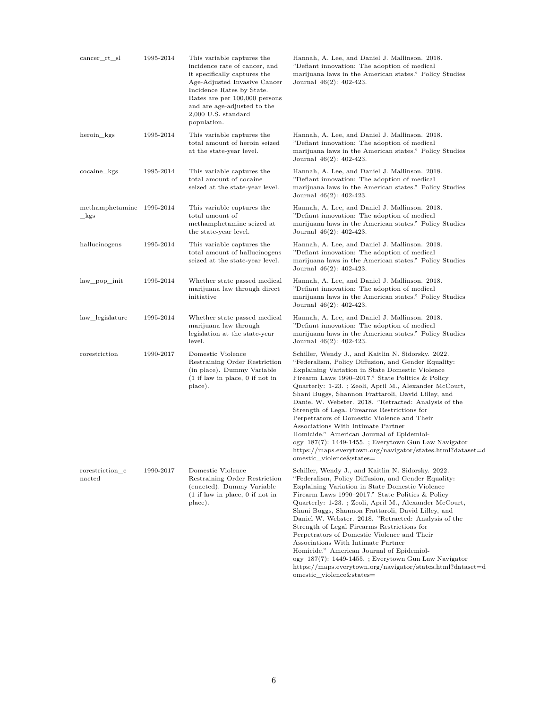| cancer_rt_sl                                                 | 1995-2014 | This variable captures the<br>incidence rate of cancer, and<br>it specifically captures the<br>Age-Adjusted Invasive Cancer<br>Incidence Rates by State.<br>Rates are per 100,000 persons<br>and are age-adjusted to the<br>2,000 U.S. standard<br>population. | Hannah, A. Lee, and Daniel J. Mallinson. 2018.<br>"Defiant innovation: The adoption of medical<br>marijuana laws in the American states." Policy Studies<br>Journal 46(2): 402-423.                                                                                                                                                                                                                                                                                                                                                                                                                                                                                                                                         |
|--------------------------------------------------------------|-----------|----------------------------------------------------------------------------------------------------------------------------------------------------------------------------------------------------------------------------------------------------------------|-----------------------------------------------------------------------------------------------------------------------------------------------------------------------------------------------------------------------------------------------------------------------------------------------------------------------------------------------------------------------------------------------------------------------------------------------------------------------------------------------------------------------------------------------------------------------------------------------------------------------------------------------------------------------------------------------------------------------------|
| heroin kgs                                                   | 1995-2014 | This variable captures the<br>total amount of heroin seized<br>at the state-year level.                                                                                                                                                                        | Hannah, A. Lee, and Daniel J. Mallinson. 2018.<br>"Defiant innovation: The adoption of medical<br>marijuana laws in the American states." Policy Studies<br>Journal 46(2): 402-423.                                                                                                                                                                                                                                                                                                                                                                                                                                                                                                                                         |
| cocaine kgs                                                  | 1995-2014 | This variable captures the<br>total amount of cocaine<br>seized at the state-year level.                                                                                                                                                                       | Hannah, A. Lee, and Daniel J. Mallinson. 2018.<br>"Defiant innovation: The adoption of medical<br>marijuana laws in the American states." Policy Studies<br>Journal 46(2): 402-423.                                                                                                                                                                                                                                                                                                                                                                                                                                                                                                                                         |
| methamphetamine 1995-2014<br>_kgs                            |           | This variable captures the<br>total amount of<br>methamphetamine seized at<br>the state-year level.                                                                                                                                                            | Hannah, A. Lee, and Daniel J. Mallinson. 2018.<br>"Defiant innovation: The adoption of medical<br>marijuana laws in the American states." Policy Studies<br>Journal 46(2): 402-423.                                                                                                                                                                                                                                                                                                                                                                                                                                                                                                                                         |
| hallucinogens                                                | 1995-2014 | This variable captures the<br>total amount of hallucinogens<br>seized at the state-year level.                                                                                                                                                                 | Hannah, A. Lee, and Daniel J. Mallinson. 2018.<br>"Defiant innovation: The adoption of medical<br>marijuana laws in the American states." Policy Studies<br>Journal 46(2): 402-423.                                                                                                                                                                                                                                                                                                                                                                                                                                                                                                                                         |
| law_pop_init                                                 | 1995-2014 | Whether state passed medical<br>marijuana law through direct<br>initiative                                                                                                                                                                                     | Hannah, A. Lee, and Daniel J. Mallinson. 2018.<br>"Defiant innovation: The adoption of medical<br>marijuana laws in the American states." Policy Studies<br>Journal 46(2): 402-423.                                                                                                                                                                                                                                                                                                                                                                                                                                                                                                                                         |
| law_legislature                                              | 1995-2014 | Whether state passed medical<br>marijuana law through<br>legislation at the state-year<br>level.                                                                                                                                                               | Hannah, A. Lee, and Daniel J. Mallinson. 2018.<br>"Defiant innovation: The adoption of medical<br>marijuana laws in the American states." Policy Studies<br>Journal 46(2): 402-423.                                                                                                                                                                                                                                                                                                                                                                                                                                                                                                                                         |
| rorestriction                                                | 1990-2017 | Domestic Violence<br>Restraining Order Restriction<br>(in place). Dummy Variable<br>$(1$ if law in place, 0 if not in<br>place).                                                                                                                               | Schiller, Wendy J., and Kaitlin N. Sidorsky. 2022.<br>"Federalism, Policy Diffusion, and Gender Equality:<br>Explaining Variation in State Domestic Violence<br>Firearm Laws 1990–2017." State Politics & Policy<br>Quarterly: 1-23. ; Zeoli, April M., Alexander McCourt,<br>Shani Buggs, Shannon Frattaroli, David Lilley, and<br>Daniel W. Webster. 2018. "Retracted: Analysis of the<br>Strength of Legal Firearms Restrictions for<br>Perpetrators of Domestic Violence and Their<br>Associations With Intimate Partner<br>Homicide." American Journal of Epidemiol-<br>ogy 187(7): 1449-1455. ; Everytown Gun Law Navigator<br>https://maps.everytown.org/navigator/states.html?dataset=d<br>omestic_violence&states= |
| $\frac{1}{2}$ rorestriction $\frac{1}{2}$<br>$_{\rm nacted}$ | 1990-2017 | Domestic Violence<br>Restraining Order Restriction<br>(enacted). Dummy Variable<br>$(1$ if law in place, 0 if not in<br>place).                                                                                                                                | Schiller, Wendy J., and Kaitlin N. Sidorsky. 2022.<br>"Federalism, Policy Diffusion, and Gender Equality:<br>Explaining Variation in State Domestic Violence<br>Firearm Laws 1990–2017." State Politics & Policy<br>Quarterly: 1-23. ; Zeoli, April M., Alexander McCourt,<br>Shani Buggs, Shannon Frattaroli, David Lilley, and<br>Daniel W. Webster. 2018. "Retracted: Analysis of the<br>Strength of Legal Firearms Restrictions for<br>Perpetrators of Domestic Violence and Their<br>Associations With Intimate Partner<br>Homicide." American Journal of Epidemiol-<br>ogy 187(7): 1449-1455. ; Everytown Gun Law Navigator<br>https://maps.everytown.org/navigator/states.html?dataset=d<br>omestic_violence&states= |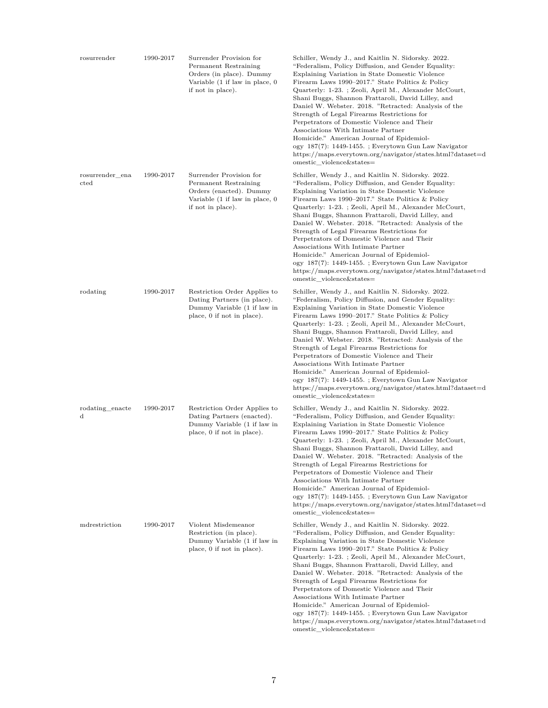| rosurrender                      | 1990-2017 | Surrender Provision for<br>Permanent Restraining<br>Orders (in place). Dummy<br>Variable (1 if law in place, 0<br>if not in place). | Schiller, Wendy J., and Kaitlin N. Sidorsky. 2022.<br>"Federalism, Policy Diffusion, and Gender Equality:<br>Explaining Variation in State Domestic Violence<br>Firearm Laws 1990–2017." State Politics & Policy<br>Quarterly: 1-23. ; Zeoli, April M., Alexander McCourt,<br>Shani Buggs, Shannon Frattaroli, David Lilley, and<br>Daniel W. Webster. 2018. "Retracted: Analysis of the<br>Strength of Legal Firearms Restrictions for<br>Perpetrators of Domestic Violence and Their<br>Associations With Intimate Partner<br>Homicide." American Journal of Epidemiol-<br>ogy 187(7): 1449-1455. ; Everytown Gun Law Navigator<br>https://maps.everytown.org/navigator/states.html?dataset=d<br>omestic violence&states= |
|----------------------------------|-----------|-------------------------------------------------------------------------------------------------------------------------------------|-----------------------------------------------------------------------------------------------------------------------------------------------------------------------------------------------------------------------------------------------------------------------------------------------------------------------------------------------------------------------------------------------------------------------------------------------------------------------------------------------------------------------------------------------------------------------------------------------------------------------------------------------------------------------------------------------------------------------------|
| rosurrender_ena<br>$_{\rm cted}$ | 1990-2017 | Surrender Provision for<br>Permanent Restraining<br>Orders (enacted). Dummy<br>Variable (1 if law in place, 0<br>if not in place).  | Schiller, Wendy J., and Kaitlin N. Sidorsky. 2022.<br>"Federalism, Policy Diffusion, and Gender Equality:<br>Explaining Variation in State Domestic Violence<br>Firearm Laws 1990–2017." State Politics & Policy<br>Quarterly: 1-23.; Zeoli, April M., Alexander McCourt,<br>Shani Buggs, Shannon Frattaroli, David Lilley, and<br>Daniel W. Webster. 2018. "Retracted: Analysis of the<br>Strength of Legal Firearms Restrictions for<br>Perpetrators of Domestic Violence and Their<br>Associations With Intimate Partner<br>Homicide." American Journal of Epidemiol-<br>ogy 187(7): 1449-1455. ; Everytown Gun Law Navigator<br>https://maps.everytown.org/navigator/states.html?dataset=d<br>omestic_violence&states=  |
| rodating                         | 1990-2017 | Restriction Order Applies to<br>Dating Partners (in place).<br>Dummy Variable (1 if law in<br>place, 0 if not in place).            | Schiller, Wendy J., and Kaitlin N. Sidorsky. 2022.<br>"Federalism, Policy Diffusion, and Gender Equality:<br>Explaining Variation in State Domestic Violence<br>Firearm Laws 1990–2017." State Politics & Policy<br>Quarterly: 1-23. ; Zeoli, April M., Alexander McCourt,<br>Shani Buggs, Shannon Frattaroli, David Lilley, and<br>Daniel W. Webster. 2018. "Retracted: Analysis of the<br>Strength of Legal Firearms Restrictions for<br>Perpetrators of Domestic Violence and Their<br>Associations With Intimate Partner<br>Homicide." American Journal of Epidemiol-<br>ogy 187(7): 1449-1455. ; Everytown Gun Law Navigator<br>https://maps.everytown.org/navigator/states.html?dataset=d<br>omestic violence&states= |
| rodating enacte<br>$\mathbf d$   | 1990-2017 | Restriction Order Applies to<br>Dating Partners (enacted).<br>Dummy Variable (1 if law in<br>place, 0 if not in place).             | Schiller, Wendy J., and Kaitlin N. Sidorsky. 2022.<br>"Federalism, Policy Diffusion, and Gender Equality:<br>Explaining Variation in State Domestic Violence<br>Firearm Laws 1990–2017." State Politics & Policy<br>Quarterly: 1-23. ; Zeoli, April M., Alexander McCourt,<br>Shani Buggs, Shannon Frattaroli, David Lilley, and<br>Daniel W. Webster. 2018. "Retracted: Analysis of the<br>Strength of Legal Firearms Restrictions for<br>Perpetrators of Domestic Violence and Their<br>Associations With Intimate Partner<br>Homicide." American Journal of Epidemiol-<br>ogy 187(7): 1449-1455. ; Everytown Gun Law Navigator<br>https://maps.everytown.org/navigator/states.html?dataset=d<br>omestic violence&states= |
| mdrestriction                    | 1990-2017 | Violent Misdemeanor<br>Restriction (in place).<br>Dummy Variable (1 if law in<br>place, 0 if not in place).                         | Schiller, Wendy J., and Kaitlin N. Sidorsky. 2022.<br>"Federalism, Policy Diffusion, and Gender Equality:<br>Explaining Variation in State Domestic Violence<br>Firearm Laws 1990–2017." State Politics & Policy<br>Quarterly: 1-23.; Zeoli, April M., Alexander McCourt,<br>Shani Buggs, Shannon Frattaroli, David Lilley, and<br>Daniel W. Webster. 2018. "Retracted: Analysis of the<br>Strength of Legal Firearms Restrictions for<br>Perpetrators of Domestic Violence and Their<br>Associations With Intimate Partner<br>Homicide." American Journal of Epidemiol-<br>ogy 187(7): 1449-1455. ; Everytown Gun Law Navigator<br>https://maps.everytown.org/navigator/states.html?dataset=d<br>omestic violence&states=  |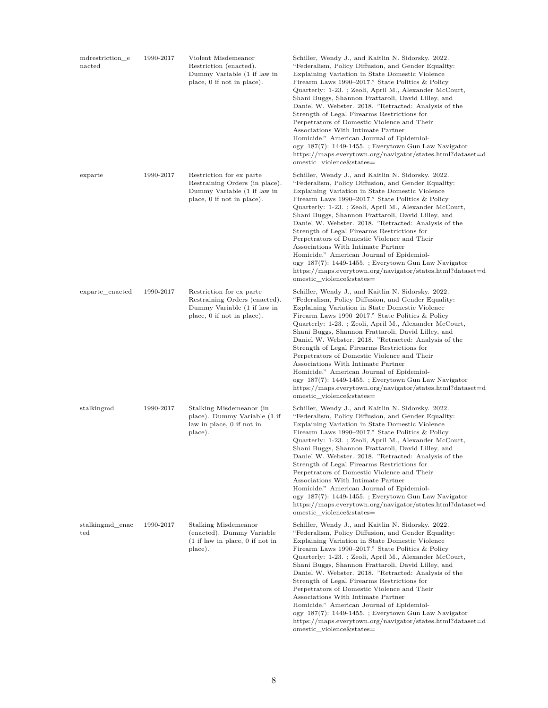| mdrestriction_e<br>nacted | 1990-2017 | Violent Misdemeanor<br>Restriction (enacted).<br>Dummy Variable (1 if law in<br>place, 0 if not in place).              | Schiller, Wendy J., and Kaitlin N. Sidorsky. 2022.<br>"Federalism, Policy Diffusion, and Gender Equality:<br>Explaining Variation in State Domestic Violence<br>Firearm Laws 1990–2017." State Politics & Policy<br>Quarterly: 1-23.; Zeoli, April M., Alexander McCourt,<br>Shani Buggs, Shannon Frattaroli, David Lilley, and<br>Daniel W. Webster. 2018. "Retracted: Analysis of the<br>Strength of Legal Firearms Restrictions for<br>Perpetrators of Domestic Violence and Their<br>Associations With Intimate Partner<br>Homicide." American Journal of Epidemiol-<br>ogy 187(7): 1449-1455. ; Everytown Gun Law Navigator<br>https://maps.everytown.org/navigator/states.html?dataset=d<br>omestic_violence&states=  |
|---------------------------|-----------|-------------------------------------------------------------------------------------------------------------------------|-----------------------------------------------------------------------------------------------------------------------------------------------------------------------------------------------------------------------------------------------------------------------------------------------------------------------------------------------------------------------------------------------------------------------------------------------------------------------------------------------------------------------------------------------------------------------------------------------------------------------------------------------------------------------------------------------------------------------------|
| exparte                   | 1990-2017 | Restriction for ex parte<br>Restraining Orders (in place).<br>Dummy Variable (1 if law in<br>place, 0 if not in place). | Schiller, Wendy J., and Kaitlin N. Sidorsky. 2022.<br>"Federalism, Policy Diffusion, and Gender Equality:<br>Explaining Variation in State Domestic Violence<br>Firearm Laws 1990–2017." State Politics & Policy<br>Quarterly: 1-23.; Zeoli, April M., Alexander McCourt,<br>Shani Buggs, Shannon Frattaroli, David Lilley, and<br>Daniel W. Webster. 2018. "Retracted: Analysis of the<br>Strength of Legal Firearms Restrictions for<br>Perpetrators of Domestic Violence and Their<br>Associations With Intimate Partner<br>Homicide." American Journal of Epidemiol-<br>ogy 187(7): 1449-1455. ; Everytown Gun Law Navigator<br>https://maps.everytown.org/navigator/states.html?dataset=d<br>omestic violence&states=  |
| exparte_enacted           | 1990-2017 | Restriction for ex parte<br>Restraining Orders (enacted).<br>Dummy Variable (1 if law in<br>place, 0 if not in place).  | Schiller, Wendy J., and Kaitlin N. Sidorsky. 2022.<br>"Federalism, Policy Diffusion, and Gender Equality:<br>Explaining Variation in State Domestic Violence<br>Firearm Laws 1990–2017." State Politics & Policy<br>Quarterly: 1-23.; Zeoli, April M., Alexander McCourt,<br>Shani Buggs, Shannon Frattaroli, David Lilley, and<br>Daniel W. Webster. 2018. "Retracted: Analysis of the<br>Strength of Legal Firearms Restrictions for<br>Perpetrators of Domestic Violence and Their<br>Associations With Intimate Partner<br>Homicide." American Journal of Epidemiol-<br>ogy 187(7): 1449-1455. ; Everytown Gun Law Navigator<br>https://maps.everytown.org/navigator/states.html?dataset=d<br>omestic_violence&states=  |
| stalkingmd                | 1990-2017 | Stalking Misdemeanor (in<br>place). Dummy Variable (1 if<br>law in place, 0 if not in<br>place).                        | Schiller, Wendy J., and Kaitlin N. Sidorsky. 2022.<br>"Federalism, Policy Diffusion, and Gender Equality:<br>Explaining Variation in State Domestic Violence<br>Firearm Laws 1990–2017." State Politics & Policy<br>Quarterly: 1-23. ; Zeoli, April M., Alexander McCourt,<br>Shani Buggs, Shannon Frattaroli, David Lilley, and<br>Daniel W. Webster. 2018. "Retracted: Analysis of the<br>Strength of Legal Firearms Restrictions for<br>Perpetrators of Domestic Violence and Their<br>Associations With Intimate Partner<br>Homicide." American Journal of Epidemiol-<br>ogy 187(7): 1449-1455. ; Everytown Gun Law Navigator<br>https://maps.everytown.org/navigator/states.html?dataset=d<br>omestic_violence&states= |
| stalkingmd_enac<br>ted    | 1990-2017 | Stalking Misdemeanor<br>(enacted). Dummy Variable<br>$(1$ if law in place, 0 if not in<br>place).                       | Schiller, Wendy J., and Kaitlin N. Sidorsky. 2022.<br>"Federalism, Policy Diffusion, and Gender Equality:<br>Explaining Variation in State Domestic Violence<br>Firearm Laws 1990–2017." State Politics & Policy<br>Quarterly: 1-23.; Zeoli, April M., Alexander McCourt,<br>Shani Buggs, Shannon Frattaroli, David Lilley, and<br>Daniel W. Webster. 2018. "Retracted: Analysis of the<br>Strength of Legal Firearms Restrictions for<br>Perpetrators of Domestic Violence and Their<br>Associations With Intimate Partner<br>Homicide." American Journal of Epidemiol-<br>ogy 187(7): 1449-1455. ; Everytown Gun Law Navigator<br>https://maps.everytown.org/navigator/states.html?dataset=d<br>omestic_violence&states=  |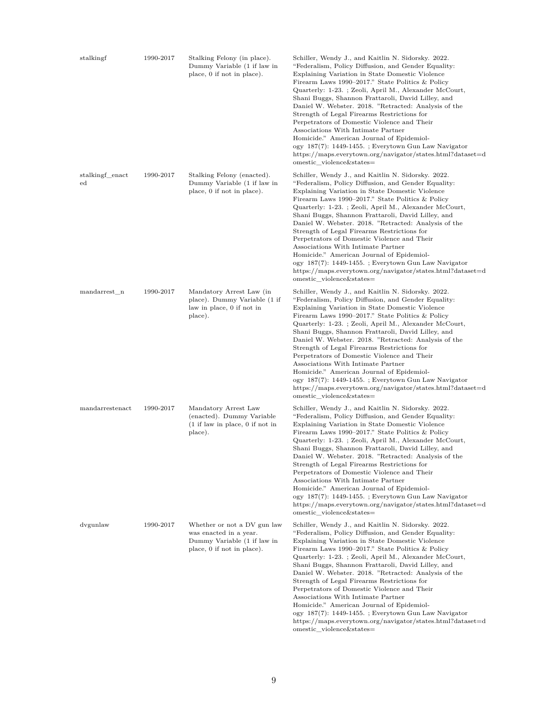| stalkingf                      | 1990-2017 | Stalking Felony (in place).<br>Dummy Variable (1 if law in<br>place, 0 if not in place).                           | Schiller, Wendy J., and Kaitlin N. Sidorsky. 2022.<br>"Federalism, Policy Diffusion, and Gender Equality:<br>Explaining Variation in State Domestic Violence<br>Firearm Laws 1990–2017." State Politics & Policy<br>Quarterly: 1-23.; Zeoli, April M., Alexander McCourt,<br>Shani Buggs, Shannon Frattaroli, David Lilley, and<br>Daniel W. Webster. 2018. "Retracted: Analysis of the<br>Strength of Legal Firearms Restrictions for<br>Perpetrators of Domestic Violence and Their<br>Associations With Intimate Partner<br>Homicide." American Journal of Epidemiol-<br>ogy 187(7): 1449-1455. ; Everytown Gun Law Navigator<br>https://maps.everytown.org/navigator/states.html?dataset=d<br>omestic violence&states=  |
|--------------------------------|-----------|--------------------------------------------------------------------------------------------------------------------|-----------------------------------------------------------------------------------------------------------------------------------------------------------------------------------------------------------------------------------------------------------------------------------------------------------------------------------------------------------------------------------------------------------------------------------------------------------------------------------------------------------------------------------------------------------------------------------------------------------------------------------------------------------------------------------------------------------------------------|
| stalkingf_enact<br>$_{\rm ed}$ | 1990-2017 | Stalking Felony (enacted).<br>Dummy Variable (1 if law in<br>place, 0 if not in place).                            | Schiller, Wendy J., and Kaitlin N. Sidorsky. 2022.<br>"Federalism, Policy Diffusion, and Gender Equality:<br>Explaining Variation in State Domestic Violence<br>Firearm Laws 1990–2017." State Politics & Policy<br>Quarterly: 1-23.; Zeoli, April M., Alexander McCourt,<br>Shani Buggs, Shannon Frattaroli, David Lilley, and<br>Daniel W. Webster. 2018. "Retracted: Analysis of the<br>Strength of Legal Firearms Restrictions for<br>Perpetrators of Domestic Violence and Their<br>Associations With Intimate Partner<br>Homicide." American Journal of Epidemiol-<br>ogy 187(7): 1449-1455. ; Everytown Gun Law Navigator<br>https://maps.everytown.org/navigator/states.html?dataset=d<br>omestic violence&states=  |
| mandarrest_n                   | 1990-2017 | Mandatory Arrest Law (in<br>place). Dummy Variable (1 if<br>law in place, 0 if not in<br>place).                   | Schiller, Wendy J., and Kaitlin N. Sidorsky. 2022.<br>"Federalism, Policy Diffusion, and Gender Equality:<br>Explaining Variation in State Domestic Violence<br>Firearm Laws 1990–2017." State Politics & Policy<br>Quarterly: 1-23.; Zeoli, April M., Alexander McCourt,<br>Shani Buggs, Shannon Frattaroli, David Lilley, and<br>Daniel W. Webster. 2018. "Retracted: Analysis of the<br>Strength of Legal Firearms Restrictions for<br>Perpetrators of Domestic Violence and Their<br>Associations With Intimate Partner<br>Homicide." American Journal of Epidemiol-<br>ogy 187(7): 1449-1455. ; Everytown Gun Law Navigator<br>https://maps.everytown.org/navigator/states.html?dataset=d<br>omestic_violence&states=  |
| mandarrestenact                | 1990-2017 | Mandatory Arrest Law<br>(enacted). Dummy Variable<br>$(1$ if law in place, 0 if not in<br>place).                  | Schiller, Wendy J., and Kaitlin N. Sidorsky. 2022.<br>"Federalism, Policy Diffusion, and Gender Equality:<br>Explaining Variation in State Domestic Violence<br>Firearm Laws 1990–2017." State Politics & Policy<br>Quarterly: 1-23.; Zeoli, April M., Alexander McCourt,<br>Shani Buggs, Shannon Frattaroli, David Lilley, and<br>Daniel W. Webster. 2018. "Retracted: Analysis of the<br>Strength of Legal Firearms Restrictions for<br>Perpetrators of Domestic Violence and Their<br>Associations With Intimate Partner<br>Homicide." American Journal of Epidemiol-<br>ogy 187(7): 1449-1455. ; Everytown Gun Law Navigator<br>https://maps.everytown.org/navigator/states.html?dataset=d<br>omestic violence&states=  |
| dvgunlaw                       | 1990-2017 | Whether or not a DV gun law<br>was enacted in a year.<br>Dummy Variable (1 if law in<br>place, 0 if not in place). | Schiller, Wendy J., and Kaitlin N. Sidorsky. 2022.<br>"Federalism, Policy Diffusion, and Gender Equality:<br>Explaining Variation in State Domestic Violence<br>Firearm Laws 1990–2017." State Politics & Policy<br>Quarterly: 1-23. ; Zeoli, April M., Alexander McCourt,<br>Shani Buggs, Shannon Frattaroli, David Lilley, and<br>Daniel W. Webster. 2018. "Retracted: Analysis of the<br>Strength of Legal Firearms Restrictions for<br>Perpetrators of Domestic Violence and Their<br>Associations With Intimate Partner<br>Homicide." American Journal of Epidemiol-<br>ogy 187(7): 1449-1455. ; Everytown Gun Law Navigator<br>https://maps.everytown.org/navigator/states.html?dataset=d<br>omestic violence&states= |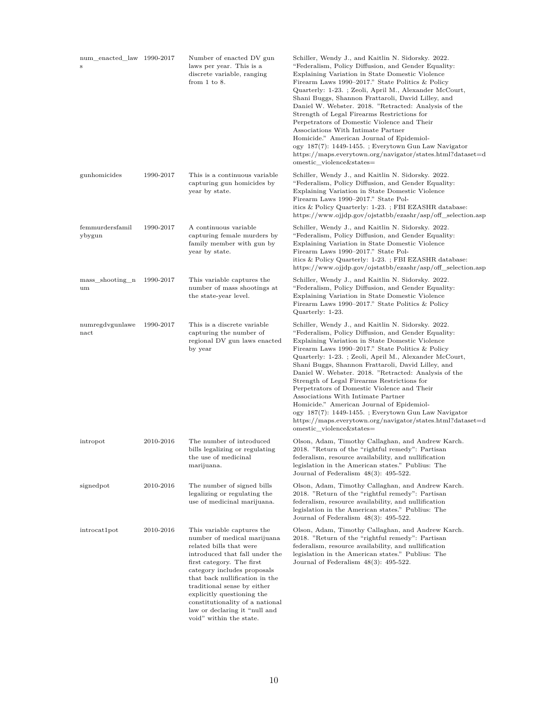| num_enacted_law 1990-2017<br>S |           | Number of enacted DV gun<br>laws per year. This is a<br>discrete variable, ranging<br>from $1$ to $8$ .                                                                                                                                                                                                                                                                          | Schiller, Wendy J., and Kaitlin N. Sidorsky. 2022.<br>"Federalism, Policy Diffusion, and Gender Equality:<br>Explaining Variation in State Domestic Violence<br>Firearm Laws 1990–2017." State Politics & Policy<br>Quarterly: 1-23.; Zeoli, April M., Alexander McCourt,<br>Shani Buggs, Shannon Frattaroli, David Lilley, and<br>Daniel W. Webster. 2018. "Retracted: Analysis of the<br>Strength of Legal Firearms Restrictions for<br>Perpetrators of Domestic Violence and Their<br>Associations With Intimate Partner<br>Homicide." American Journal of Epidemiol-<br>ogy 187(7): 1449-1455. ; Everytown Gun Law Navigator<br>https://maps.everytown.org/navigator/states.html?dataset=d<br>omestic violence&states= |
|--------------------------------|-----------|----------------------------------------------------------------------------------------------------------------------------------------------------------------------------------------------------------------------------------------------------------------------------------------------------------------------------------------------------------------------------------|----------------------------------------------------------------------------------------------------------------------------------------------------------------------------------------------------------------------------------------------------------------------------------------------------------------------------------------------------------------------------------------------------------------------------------------------------------------------------------------------------------------------------------------------------------------------------------------------------------------------------------------------------------------------------------------------------------------------------|
| gunhomicides                   | 1990-2017 | This is a continuous variable<br>capturing gun homicides by<br>year by state.                                                                                                                                                                                                                                                                                                    | Schiller, Wendy J., and Kaitlin N. Sidorsky. 2022.<br>"Federalism, Policy Diffusion, and Gender Equality:<br>Explaining Variation in State Domestic Violence<br>Firearm Laws 1990-2017." State Pol-<br>itics & Policy Quarterly: 1-23. ; FBI EZASHR database:<br>https://www.ojjdp.gov/ojstatbb/ezashr/asp/off_selection.asp                                                                                                                                                                                                                                                                                                                                                                                               |
| femmurdersfamil<br>ybygun      | 1990-2017 | A continuous variable<br>capturing female murders by<br>family member with gun by<br>year by state.                                                                                                                                                                                                                                                                              | Schiller, Wendy J., and Kaitlin N. Sidorsky. 2022.<br>"Federalism, Policy Diffusion, and Gender Equality:<br>Explaining Variation in State Domestic Violence<br>Firearm Laws 1990–2017." State Pol-<br>itics & Policy Quarterly: 1-23. ; FBI EZASHR database:<br>https://www.ojjdp.gov/ojstatbb/ezashr/asp/off_selection.asp                                                                                                                                                                                                                                                                                                                                                                                               |
| mass shooting n<br>um          | 1990-2017 | This variable captures the<br>number of mass shootings at<br>the state-year level.                                                                                                                                                                                                                                                                                               | Schiller, Wendy J., and Kaitlin N. Sidorsky. 2022.<br>"Federalism, Policy Diffusion, and Gender Equality:<br>Explaining Variation in State Domestic Violence<br>Firearm Laws 1990–2017." State Politics & Policy<br>Quarterly: 1-23.                                                                                                                                                                                                                                                                                                                                                                                                                                                                                       |
| numregdvgunlawe<br>nact        | 1990-2017 | This is a discrete variable<br>capturing the number of<br>regional DV gun laws enacted<br>by year                                                                                                                                                                                                                                                                                | Schiller, Wendy J., and Kaitlin N. Sidorsky. 2022.<br>"Federalism, Policy Diffusion, and Gender Equality:<br>Explaining Variation in State Domestic Violence<br>Firearm Laws 1990–2017." State Politics & Policy<br>Quarterly: 1-23.; Zeoli, April M., Alexander McCourt,<br>Shani Buggs, Shannon Frattaroli, David Lilley, and<br>Daniel W. Webster. 2018. "Retracted: Analysis of the<br>Strength of Legal Firearms Restrictions for<br>Perpetrators of Domestic Violence and Their<br>Associations With Intimate Partner<br>Homicide." American Journal of Epidemiol-<br>ogy 187(7): 1449-1455. ; Everytown Gun Law Navigator<br>https://maps.everytown.org/navigator/states.html?dataset=d<br>omestic_violence&states= |
| intropot                       | 2010-2016 | The number of introduced<br>bills legalizing or regulating<br>the use of medicinal<br>marijuana.                                                                                                                                                                                                                                                                                 | Olson, Adam, Timothy Callaghan, and Andrew Karch.<br>2018. "Return of the "rightful remedy": Partisan<br>federalism, resource availability, and nullification<br>legislation in the American states." Publius: The<br>Journal of Federalism $48(3)$ : $495-522$ .                                                                                                                                                                                                                                                                                                                                                                                                                                                          |
| signedpot                      | 2010-2016 | The number of signed bills<br>legalizing or regulating the<br>use of medicinal marijuana.                                                                                                                                                                                                                                                                                        | Olson, Adam, Timothy Callaghan, and Andrew Karch.<br>2018. "Return of the "rightful remedy": Partisan<br>federalism, resource availability, and nullification<br>legislation in the American states." Publius: The<br>Journal of Federalism $48(3)$ : $495-522$ .                                                                                                                                                                                                                                                                                                                                                                                                                                                          |
| introcat1pot                   | 2010-2016 | This variable captures the<br>number of medical marijuana<br>related bills that were<br>introduced that fall under the<br>first category. The first<br>category includes proposals<br>that back nullification in the<br>traditional sense by either<br>explicitly questioning the<br>constitutionality of a national<br>law or declaring it "null and<br>void" within the state. | Olson, Adam, Timothy Callaghan, and Andrew Karch.<br>2018. "Return of the "rightful remedy": Partisan<br>federalism, resource availability, and nullification<br>legislation in the American states." Publius: The<br>Journal of Federalism $48(3)$ : 495-522.                                                                                                                                                                                                                                                                                                                                                                                                                                                             |